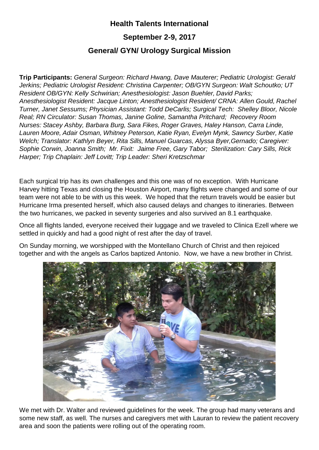## **Health Talents International**

## **September 2-9, 2017**

## **General/ GYN/ Urology Surgical Mission**

**Trip Participants:** *General Surgeon: Richard Hwang, Dave Mauterer; Pediatric Urologist: Gerald Jerkins; Pediatric Urologist Resident: Christina Carpenter; OB/GYN Surgeon: Walt Schoutko; UT Resident OB/GYN: Kelly Schwirian; Anesthesiologist: Jason Buehler, David Parks; Anesthesiologist Resident: Jacque Linton; Anesthesiologist Resident/ CRNA: Allen Gould, Rachel Turner, Janet Sessums; Physician Assistant: Todd DeCarlis; Surgical Tech: Shelley Bloor, Nicole Real; RN Circulator: Susan Thomas, Janine Goline, Samantha Pritchard; Recovery Room Nurses: Stacey Ashby, Barbara Burg, Sara Fikes, Roger Graves, Haley Hanson, Carra Linde, Lauren Moore, Adair Osman, Whitney Peterson, Katie Ryan, Evelyn Mynk, Sawncy Surber, Katie Welch; Translator: Kathlyn Beyer, Rita Sills, Manuel Guarcas, Alyssa Byer,Gernado; Caregiver: Sophie Corwin, Joanna Smith; Mr. Fixit: Jaime Free, Gary Tabor; Sterilization: Cary Sills, Rick Harper; Trip Chaplain: Jeff Lovitt; Trip Leader: Sheri Kretzschmar*

Each surgical trip has its own challenges and this one was of no exception. With Hurricane Harvey hitting Texas and closing the Houston Airport, many flights were changed and some of our team were not able to be with us this week. We hoped that the return travels would be easier but Hurricane Irma presented herself, which also caused delays and changes to itineraries. Between the two hurricanes, we packed in seventy surgeries and also survived an 8.1 earthquake.

Once all flights landed, everyone received their luggage and we traveled to Clinica Ezell where we settled in quickly and had a good night of rest after the day of travel.

On Sunday morning, we worshipped with the Montellano Church of Christ and then rejoiced together and with the angels as Carlos baptized Antonio. Now, we have a new brother in Christ.



We met with Dr. Walter and reviewed guidelines for the week. The group had many veterans and some new staff, as well. The nurses and caregivers met with Lauran to review the patient recovery area and soon the patients were rolling out of the operating room.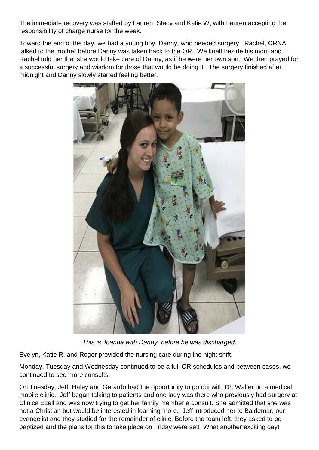The immediate recovery was staffed by Lauren, Stacy and Katie W, with Lauren accepting the responsibility of charge nurse for the week.

Toward the end of the day, we had a young boy, Danny, who needed surgery. Rachel, CRNA talked to the mother before Danny was taken back to the OR. We knelt beside his mom and Rachel told her that she would take care of Danny, as if he were her own son. We then prayed for a successful surgery and wisdom for those that would be doing it. The surgery finished after midnight and Danny slowly started feeling better.



*This is Joanna with Danny, before he was discharged.*

Evelyn, Katie R. and Roger provided the nursing care during the night shift.

Monday, Tuesday and Wednesday continued to be a full OR schedules and between cases, we continued to see more consults.

On Tuesday, Jeff, Haley and Gerardo had the opportunity to go out with Dr. Walter on a medical mobile clinic. Jeff began talking to patients and one lady was there who previously had surgery at Clinica Ezell and was now trying to get her family member a consult. She admitted that she was not a Christian but would be interested in learning more. Jeff introduced her to Baldemar, our evangelist and they studied for the remainder of clinic. Before the team left, they asked to be baptized and the plans for this to take place on Friday were set! What another exciting day!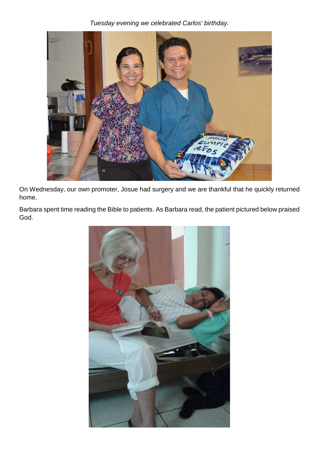*Tuesday evening we celebrated Carlos' birthday.*



On Wednesday, our own promoter, Josue had surgery and we are thankful that he quickly returned home.

Barbara spent time reading the Bible to patients. As Barbara read, the patient pictured below praised God.

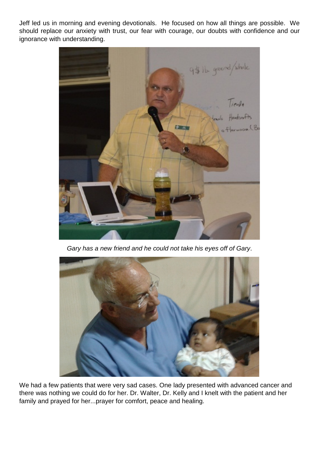Jeff led us in morning and evening devotionals. He focused on how all things are possible. We should replace our anxiety with trust, our fear with courage, our doubts with confidence and our ignorance with understanding.



*Gary has a new friend and he could not take his eyes off of Gary*.



We had a few patients that were very sad cases. One lady presented with advanced cancer and there was nothing we could do for her. Dr. Walter, Dr. Kelly and I knelt with the patient and her family and prayed for her...prayer for comfort, peace and healing.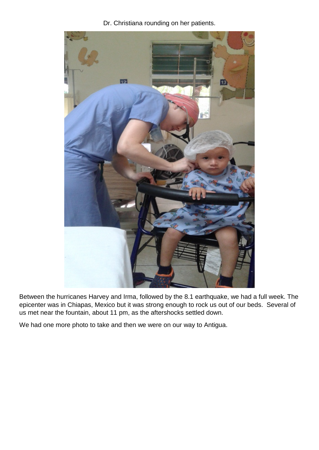Dr. Christiana rounding on her patients.



Between the hurricanes Harvey and Irma, followed by the 8.1 earthquake, we had a full week. The epicenter was in Chiapas, Mexico but it was strong enough to rock us out of our beds. Several of us met near the fountain, about 11 pm, as the aftershocks settled down.

We had one more photo to take and then we were on our way to Antigua.